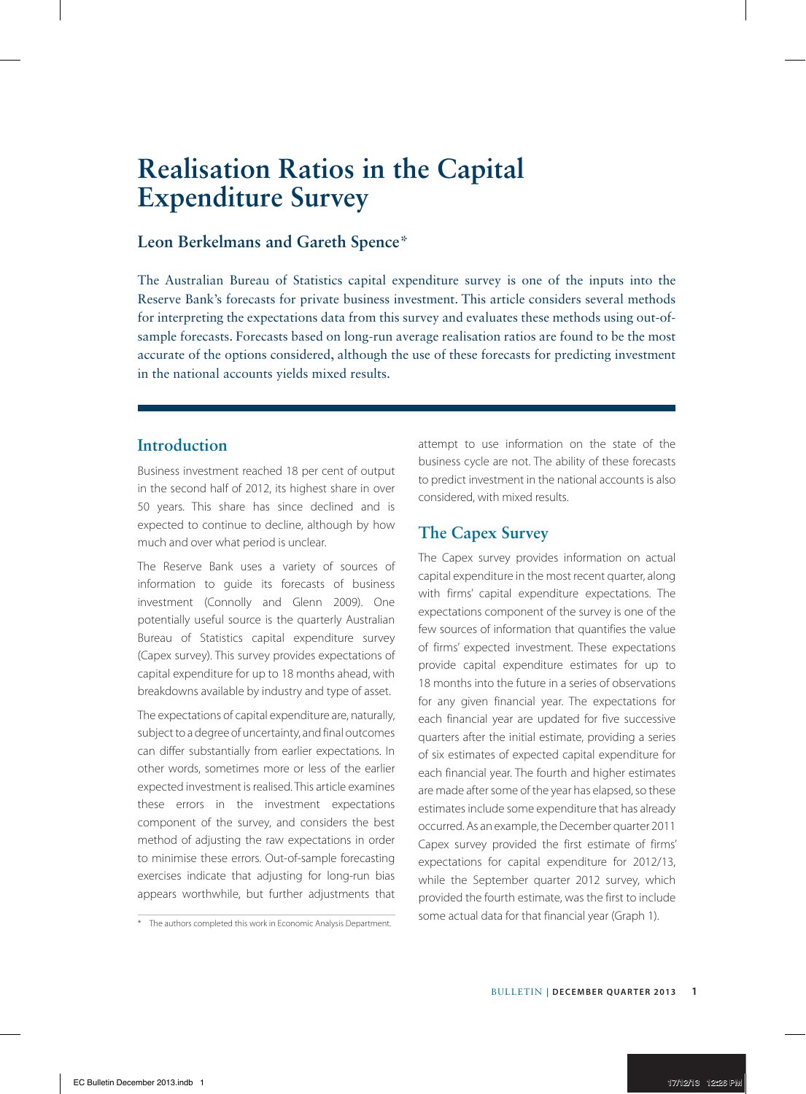# **Realisation Ratios in the Capital Expenditure Survey**

### **Leon Berkelmans and Gareth Spence**\*

The Australian Bureau of Statistics capital expenditure survey is one of the inputs into the Reserve Bank's forecasts for private business investment. This article considers several methods for interpreting the expectations data from this survey and evaluates these methods using out-ofsample forecasts. Forecasts based on long-run average realisation ratios are found to be the most accurate of the options considered, although the use of these forecasts for predicting investment in the national accounts yields mixed results.

# **Introduction**

Business investment reached 18 per cent of output in the second half of 2012, its highest share in over 50 years. This share has since declined and is expected to continue to decline, although by how much and over what period is unclear.

The Reserve Bank uses a variety of sources of information to guide its forecasts of business investment (Connolly and Glenn 2009). One potentially useful source is the quarterly Australian Bureau of Statistics capital expenditure survey (Capex survey). This survey provides expectations of capital expenditure for up to 18 months ahead, with breakdowns available by industry and type of asset.

The expectations of capital expenditure are, naturally, subject to a degree of uncertainty, and final outcomes can differ substantially from earlier expectations. In other words, sometimes more or less of the earlier expected investment is realised. This article examines these errors in the investment expectations component of the survey, and considers the best method of adjusting the raw expectations in order to minimise these errors. Out-of-sample forecasting exercises indicate that adjusting for long-run bias appears worthwhile, but further adjustments that attempt to use information on the state of the business cycle are not. The ability of these forecasts to predict investment in the national accounts is also considered, with mixed results.

# **The Capex Survey**

The Capex survey provides information on actual capital expenditure in the most recent quarter, along with firms' capital expenditure expectations. The expectations component of the survey is one of the few sources of information that quantifies the value of firms' expected investment. These expectations provide capital expenditure estimates for up to 18 months into the future in a series of observations for any given financial year. The expectations for each financial year are updated for five successive quarters after the initial estimate, providing a series of six estimates of expected capital expenditure for each financial year. The fourth and higher estimates are made after some of the year has elapsed, so these estimates include some expenditure that has already occurred. As an example, the December quarter 2011 Capex survey provided the first estimate of firms' expectations for capital expenditure for 2012/13, while the September quarter 2012 survey, which provided the fourth estimate, was the first to include some actual data for that financial year (Graph 1).

<sup>\*</sup> The authors completed this work in Economic Analysis Department.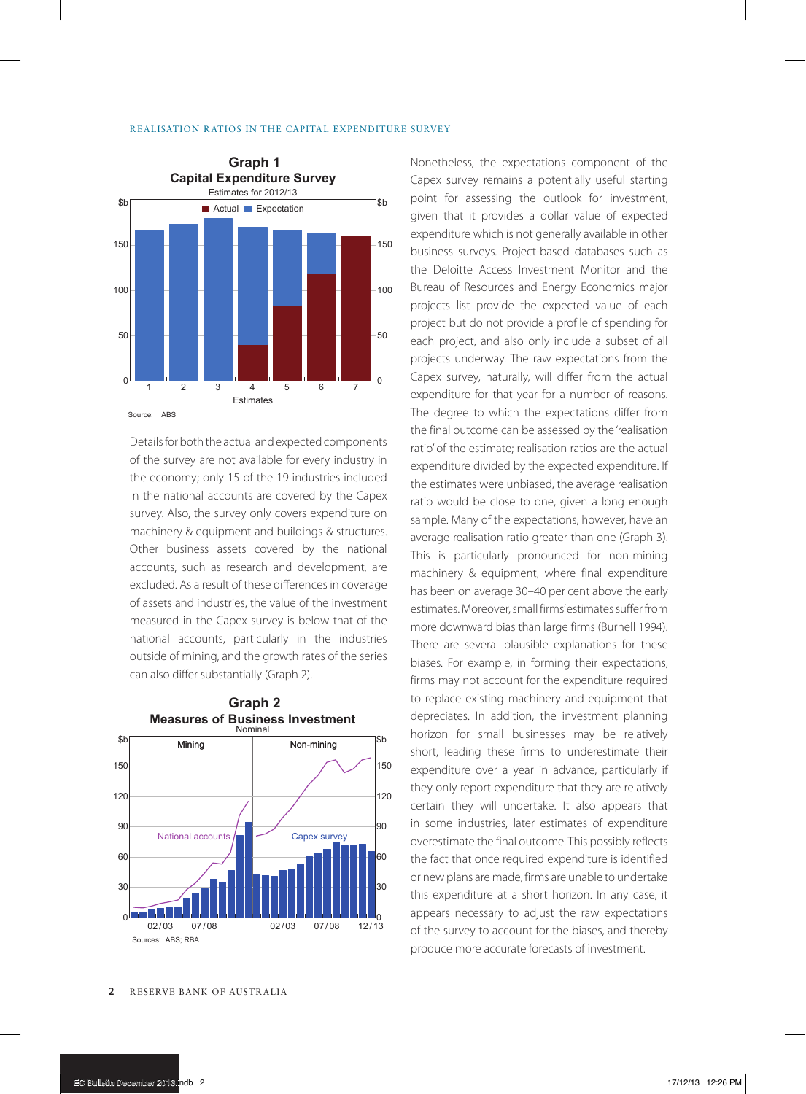

Details for both the actual and expected components of the survey are not available for every industry in the economy; only 15 of the 19 industries included in the national accounts are covered by the Capex survey. Also, the survey only covers expenditure on machinery & equipment and buildings & structures. Other business assets covered by the national accounts, such as research and development, are excluded. As a result of these differences in coverage of assets and industries, the value of the investment measured in the Capex survey is below that of the national accounts, particularly in the industries outside of mining, and the growth rates of the series can also differ substantially (Graph 2).



**Measures of Business Investment Graph 2**

Nonetheless, the expectations component of the Capex survey remains a potentially useful starting point for assessing the outlook for investment, given that it provides a dollar value of expected expenditure which is not generally available in other business surveys. Project-based databases such as the Deloitte Access Investment Monitor and the Bureau of Resources and Energy Economics major projects list provide the expected value of each project but do not provide a profile of spending for each project, and also only include a subset of all projects underway. The raw expectations from the Capex survey, naturally, will differ from the actual expenditure for that year for a number of reasons. The degree to which the expectations differ from the final outcome can be assessed by the 'realisation ratio' of the estimate; realisation ratios are the actual expenditure divided by the expected expenditure. If the estimates were unbiased, the average realisation ratio would be close to one, given a long enough sample. Many of the expectations, however, have an average realisation ratio greater than one (Graph 3). This is particularly pronounced for non-mining machinery & equipment, where final expenditure has been on average 30–40 per cent above the early estimates. Moreover, small firms' estimates suffer from more downward bias than large firms (Burnell 1994). There are several plausible explanations for these biases. For example, in forming their expectations, firms may not account for the expenditure required to replace existing machinery and equipment that depreciates. In addition, the investment planning horizon for small businesses may be relatively short, leading these firms to underestimate their expenditure over a year in advance, particularly if they only report expenditure that they are relatively certain they will undertake. It also appears that in some industries, later estimates of expenditure overestimate the final outcome. This possibly reflects the fact that once required expenditure is identified or new plans are made, firms are unable to undertake this expenditure at a short horizon. In any case, it appears necessary to adjust the raw expectations of the survey to account for the biases, and thereby produce more accurate forecasts of investment.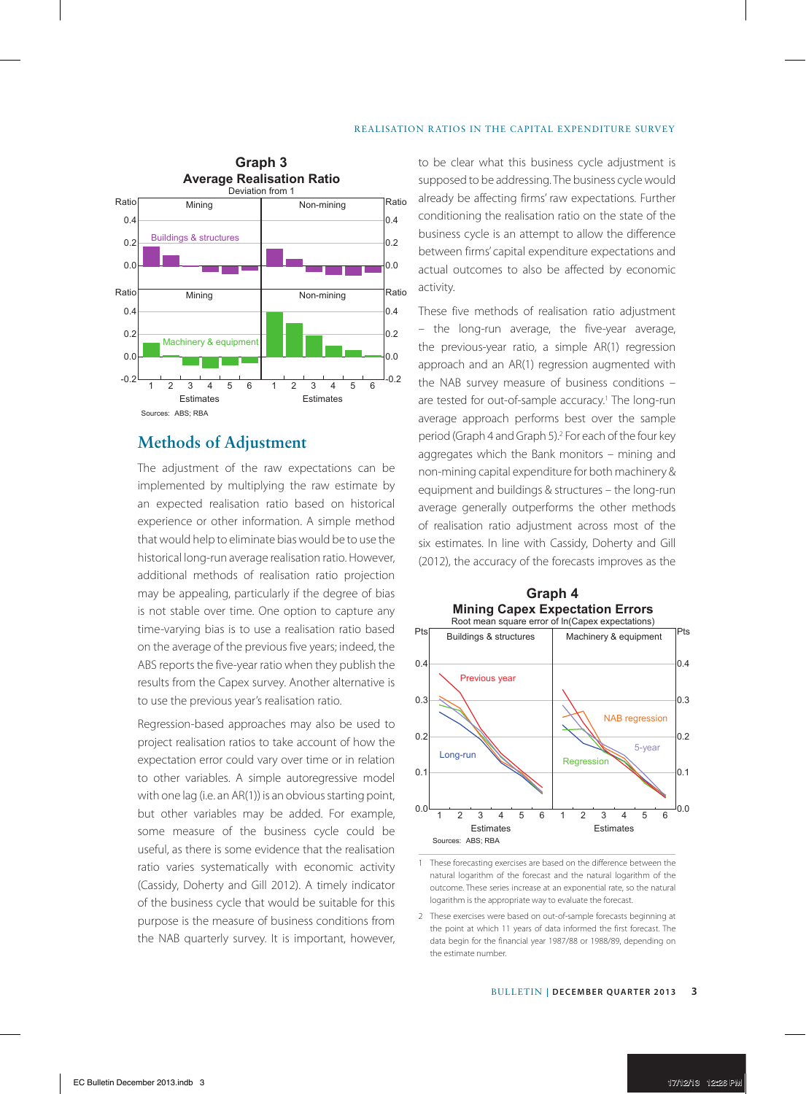

### **Methods of Adjustment**

The adjustment of the raw expectations can be implemented by multiplying the raw estimate by an expected realisation ratio based on historical experience or other information. A simple method that would help to eliminate bias would be to use the historical long-run average realisation ratio. However, additional methods of realisation ratio projection may be appealing, particularly if the degree of bias is not stable over time. One option to capture any time-varying bias is to use a realisation ratio based on the average of the previous five years; indeed, the ABS reports the five-year ratio when they publish the results from the Capex survey. Another alternative is to use the previous year's realisation ratio.

Regression-based approaches may also be used to project realisation ratios to take account of how the expectation error could vary over time or in relation to other variables. A simple autoregressive model with one lag (i.e. an AR(1)) is an obvious starting point, but other variables may be added. For example, some measure of the business cycle could be useful, as there is some evidence that the realisation ratio varies systematically with economic activity (Cassidy, Doherty and Gill 2012). A timely indicator of the business cycle that would be suitable for this purpose is the measure of business conditions from the NAB quarterly survey. It is important, however, to be clear what this business cycle adjustment is supposed to be addressing. The business cycle would already be affecting firms' raw expectations. Further conditioning the realisation ratio on the state of the business cycle is an attempt to allow the difference between firms' capital expenditure expectations and actual outcomes to also be affected by economic activity.

These five methods of realisation ratio adjustment – the long-run average, the five-year average, the previous-year ratio, a simple AR(1) regression approach and an AR(1) regression augmented with the NAB survey measure of business conditions – are tested for out-of-sample accuracy.<sup>1</sup> The long-run average approach performs best over the sample period (Graph 4 and Graph 5).<sup>2</sup> For each of the four key aggregates which the Bank monitors – mining and non-mining capital expenditure for both machinery & equipment and buildings & structures – the long-run average generally outperforms the other methods of realisation ratio adjustment across most of the six estimates. In line with Cassidy, Doherty and Gill (2012), the accuracy of the forecasts improves as the



**Mining Capex Expectation Errors Graph 4**

2 These exercises were based on out-of-sample forecasts beginning at the point at which 11 years of data informed the first forecast. The data begin for the financial year 1987/88 or 1988/89, depending on the estimate number.

<sup>1</sup> These forecasting exercises are based on the difference between the natural logarithm of the forecast and the natural logarithm of the outcome. These series increase at an exponential rate, so the natural logarithm is the appropriate way to evaluate the forecast.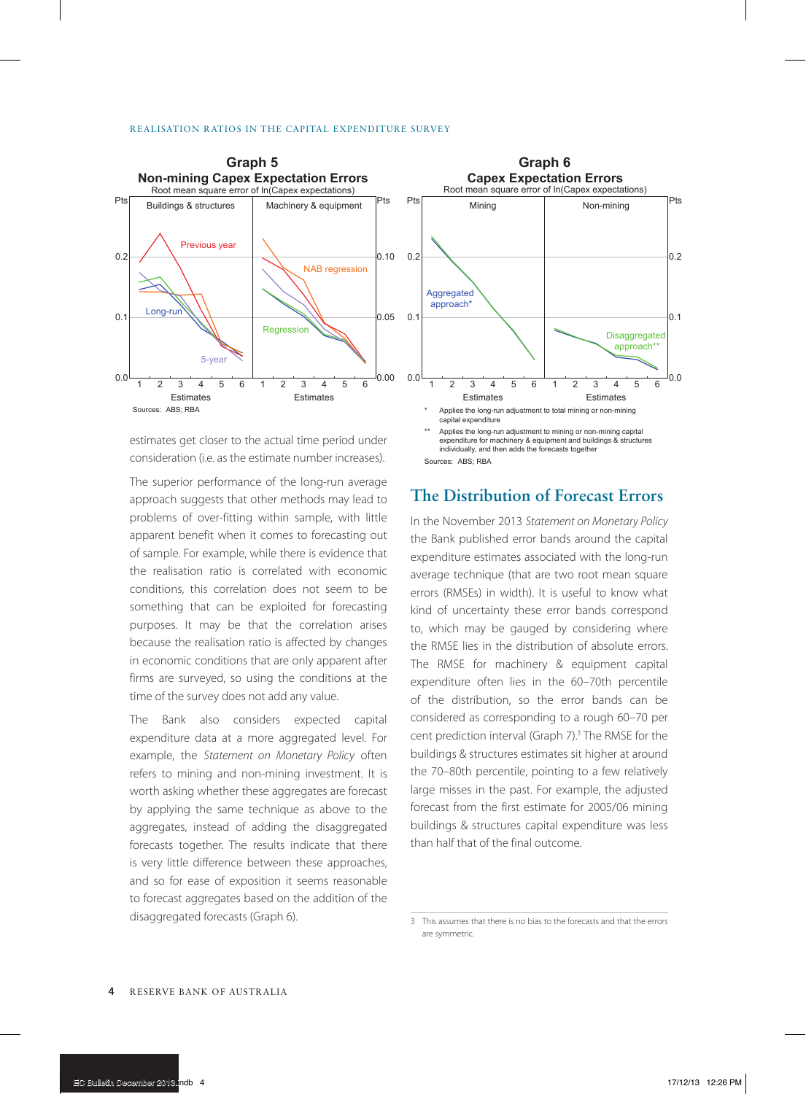

estimates get closer to the actual time period under consideration (i.e. as the estimate number increases).

The superior performance of the long-run average approach suggests that other methods may lead to problems of over-fitting within sample, with little apparent benefit when it comes to forecasting out of sample. For example, while there is evidence that the realisation ratio is correlated with economic conditions, this correlation does not seem to be something that can be exploited for forecasting purposes. It may be that the correlation arises because the realisation ratio is affected by changes in economic conditions that are only apparent after firms are surveyed, so using the conditions at the time of the survey does not add any value.

The Bank also considers expected capital expenditure data at a more aggregated level. For example, the *Statement on Monetary Policy* often refers to mining and non-mining investment. It is worth asking whether these aggregates are forecast by applying the same technique as above to the aggregates, instead of adding the disaggregated forecasts together. The results indicate that there is very little difference between these approaches, and so for ease of exposition it seems reasonable to forecast aggregates based on the addition of the disaggregated forecasts (Graph 6).



Sources: ABS: RBA

# **The Distribution of Forecast Errors**

In the November 2013 *Statement on Monetary Policy* the Bank published error bands around the capital expenditure estimates associated with the long-run average technique (that are two root mean square errors (RMSEs) in width). It is useful to know what kind of uncertainty these error bands correspond to, which may be gauged by considering where the RMSE lies in the distribution of absolute errors. The RMSE for machinery & equipment capital expenditure often lies in the 60–70th percentile of the distribution, so the error bands can be considered as corresponding to a rough 60–70 per cent prediction interval (Graph 7).<sup>3</sup> The RMSE for the buildings & structures estimates sit higher at around the 70–80th percentile, pointing to a few relatively large misses in the past. For example, the adjusted forecast from the first estimate for 2005/06 mining buildings & structures capital expenditure was less than half that of the final outcome.

<sup>3</sup> This assumes that there is no bias to the forecasts and that the errors are symmetric.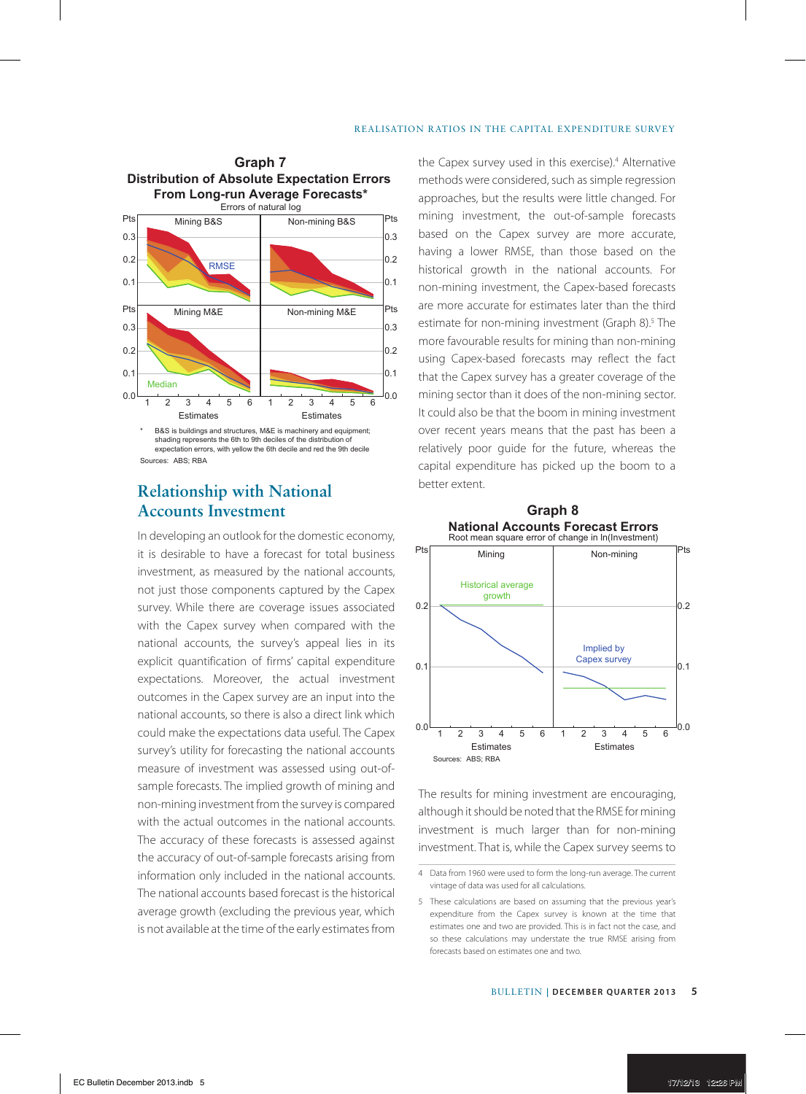

expectation errors, with yellow the 6th decile and red the 9th decile Sources: ABS: RBA

# **Relationship with National Accounts Investment**

In developing an outlook for the domestic economy, it is desirable to have a forecast for total business investment, as measured by the national accounts, not just those components captured by the Capex survey. While there are coverage issues associated with the Capex survey when compared with the national accounts, the survey's appeal lies in its explicit quantification of firms' capital expenditure expectations. Moreover, the actual investment outcomes in the Capex survey are an input into the national accounts, so there is also a direct link which could make the expectations data useful. The Capex survey's utility for forecasting the national accounts measure of investment was assessed using out-ofsample forecasts. The implied growth of mining and non-mining investment from the survey is compared with the actual outcomes in the national accounts. The accuracy of these forecasts is assessed against the accuracy of out-of-sample forecasts arising from information only included in the national accounts. The national accounts based forecast is the historical average growth (excluding the previous year, which is not available at the time of the early estimates from

**Graph 7** the Capex survey used in this exercise).<sup>4</sup> Alternative methods were considered, such as simple regression approaches, but the results were little changed. For mining investment, the out-of-sample forecasts based on the Capex survey are more accurate, having a lower RMSE, than those based on the historical growth in the national accounts. For non-mining investment, the Capex-based forecasts are more accurate for estimates later than the third estimate for non-mining investment (Graph 8).<sup>5</sup> The more favourable results for mining than non-mining using Capex-based forecasts may reflect the fact that the Capex survey has a greater coverage of the mining sector than it does of the non-mining sector. It could also be that the boom in mining investment over recent years means that the past has been a relatively poor guide for the future, whereas the capital expenditure has picked up the boom to a better extent.



**Graph 8**

The results for mining investment are encouraging, although it should be noted that the RMSE for mining investment is much larger than for non-mining investment. That is, while the Capex survey seems to

<sup>4</sup> Data from 1960 were used to form the long-run average. The current vintage of data was used for all calculations.

<sup>5</sup> These calculations are based on assuming that the previous year's expenditure from the Capex survey is known at the time that estimates one and two are provided. This is in fact not the case, and so these calculations may understate the true RMSE arising from forecasts based on estimates one and two.